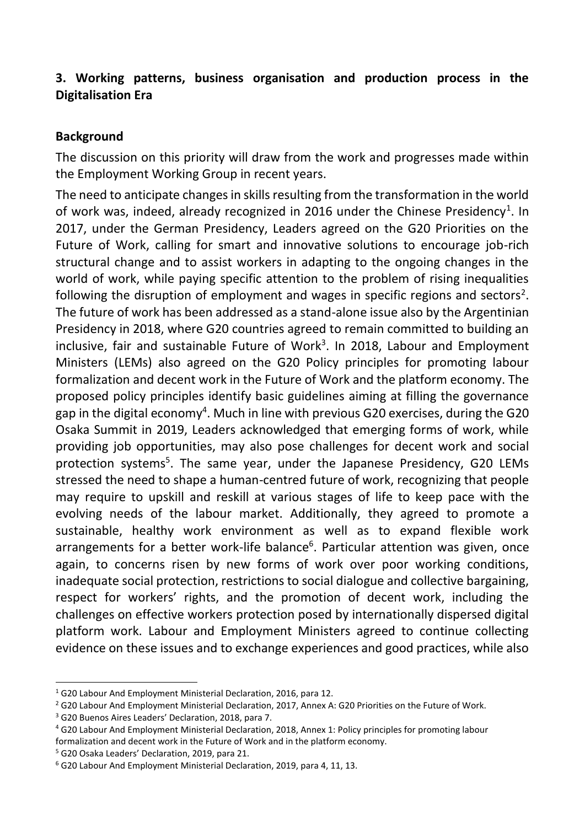## **3. Working patterns, business organisation and production process in the Digitalisation Era**

## **Background**

The discussion on this priority will draw from the work and progresses made within the Employment Working Group in recent years.

The need to anticipate changes in skills resulting from the transformation in the world of work was, indeed, already recognized in 2016 under the Chinese Presidency<sup>1</sup>. In 2017, under the German Presidency, Leaders agreed on the G20 Priorities on the Future of Work, calling for smart and innovative solutions to encourage job-rich structural change and to assist workers in adapting to the ongoing changes in the world of work, while paying specific attention to the problem of rising inequalities following the disruption of employment and wages in specific regions and sectors<sup>2</sup>. The future of work has been addressed as a stand-alone issue also by the Argentinian Presidency in 2018, where G20 countries agreed to remain committed to building an inclusive, fair and sustainable Future of Work<sup>3</sup>. In 2018, Labour and Employment Ministers (LEMs) also agreed on the G20 Policy principles for promoting labour formalization and decent work in the Future of Work and the platform economy. The proposed policy principles identify basic guidelines aiming at filling the governance gap in the digital economy<sup>4</sup>. Much in line with previous G20 exercises, during the G20 Osaka Summit in 2019, Leaders acknowledged that emerging forms of work, while providing job opportunities, may also pose challenges for decent work and social protection systems<sup>5</sup>. The same year, under the Japanese Presidency, G20 LEMs stressed the need to shape a human-centred future of work, recognizing that people may require to upskill and reskill at various stages of life to keep pace with the evolving needs of the labour market. Additionally, they agreed to promote a sustainable, healthy work environment as well as to expand flexible work arrangements for a better work-life balance<sup>6</sup>. Particular attention was given, once again, to concerns risen by new forms of work over poor working conditions, inadequate social protection, restrictions to social dialogue and collective bargaining, respect for workers' rights, and the promotion of decent work, including the challenges on effective workers protection posed by internationally dispersed digital platform work. Labour and Employment Ministers agreed to continue collecting evidence on these issues and to exchange experiences and good practices, while also

<sup>1</sup> G20 Labour And Employment Ministerial Declaration, 2016, para 12.

<sup>&</sup>lt;sup>2</sup> G20 Labour And Employment Ministerial Declaration, 2017, Annex A: G20 Priorities on the Future of Work.

<sup>3</sup> G20 Buenos Aires Leaders' Declaration, 2018, para 7.

<sup>4</sup> G20 Labour And Employment Ministerial Declaration, 2018, Annex 1: Policy principles for promoting labour formalization and decent work in the Future of Work and in the platform economy.

<sup>5</sup> G20 Osaka Leaders' Declaration, 2019, para 21.

<sup>6</sup> G20 Labour And Employment Ministerial Declaration, 2019, para 4, 11, 13.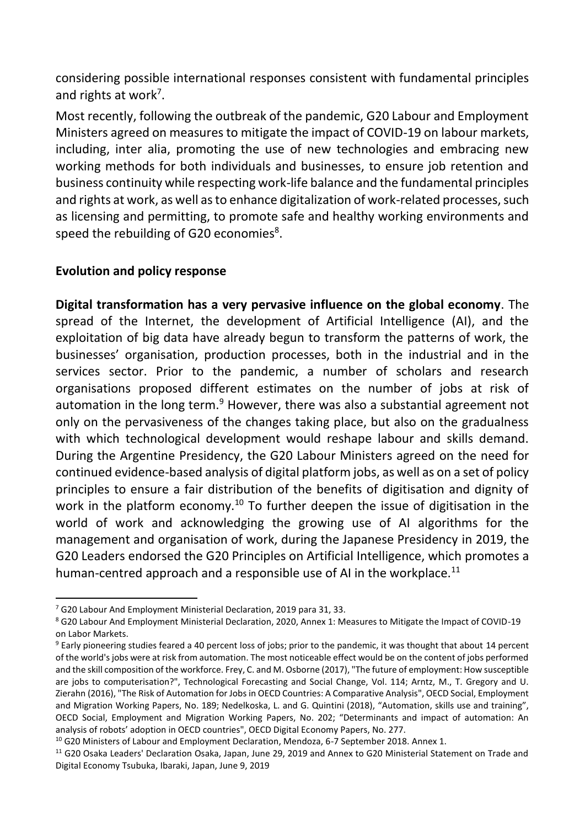considering possible international responses consistent with fundamental principles and rights at work<sup>7</sup>.

Most recently, following the outbreak of the pandemic, G20 Labour and Employment Ministers agreed on measures to mitigate the impact of COVID-19 on labour markets, including, inter alia, promoting the use of new technologies and embracing new working methods for both individuals and businesses, to ensure job retention and business continuity while respecting work-life balance and the fundamental principles and rights at work, as well as to enhance digitalization of work-related processes, such as licensing and permitting, to promote safe and healthy working environments and speed the rebuilding of G20 economies $8$ .

## **Evolution and policy response**

**Digital transformation has a very pervasive influence on the global economy**. The spread of the Internet, the development of Artificial Intelligence (AI), and the exploitation of big data have already begun to transform the patterns of work, the businesses' organisation, production processes, both in the industrial and in the services sector. Prior to the pandemic, a number of scholars and research organisations proposed different estimates on the number of jobs at risk of automation in the long term.<sup>9</sup> However, there was also a substantial agreement not only on the pervasiveness of the changes taking place, but also on the gradualness with which technological development would reshape labour and skills demand. During the Argentine Presidency, the G20 Labour Ministers agreed on the need for continued evidence-based analysis of digital platform jobs, as well as on a set of policy principles to ensure a fair distribution of the benefits of digitisation and dignity of work in the platform economy.<sup>10</sup> To further deepen the issue of digitisation in the world of work and acknowledging the growing use of AI algorithms for the management and organisation of work, during the Japanese Presidency in 2019, the G20 Leaders endorsed the G20 Principles on Artificial Intelligence, which promotes a human-centred approach and a responsible use of AI in the workplace. $11$ 

 $7$  G20 Labour And Employment Ministerial Declaration, 2019 para 31, 33.

<sup>8</sup> G20 Labour And Employment Ministerial Declaration, 2020, Annex 1: Measures to Mitigate the Impact of COVID-19 on Labor Markets.

<sup>&</sup>lt;sup>9</sup> Early pioneering studies feared a 40 percent loss of jobs; prior to the pandemic, it was thought that about 14 percent of the world's jobs were at risk from automation. The most noticeable effect would be on the content of jobs performed and the skill composition of the workforce. Frey, C. and M. Osborne (2017), "The future of employment: How susceptible are jobs to computerisation?", Technological Forecasting and Social Change, Vol. 114; Arntz, M., T. Gregory and U. Zierahn (2016), "The Risk of Automation for Jobs in OECD Countries: A Comparative Analysis", OECD Social, Employment and Migration Working Papers, No. 189; Nedelkoska, L. and G. Quintini (2018), "Automation, skills use and training", OECD Social, Employment and Migration Working Papers, No. 202; "Determinants and impact of automation: An analysis of robots' adoption in OECD countries", OECD Digital Economy Papers, No. 277.

<sup>&</sup>lt;sup>10</sup> G20 Ministers of Labour and Employment Declaration, Mendoza, 6-7 September 2018. Annex 1.

<sup>11</sup> G20 Osaka Leaders' Declaration Osaka, Japan, June 29, 2019 and Annex to G20 Ministerial Statement on Trade and Digital Economy Tsubuka, Ibaraki, Japan, June 9, 2019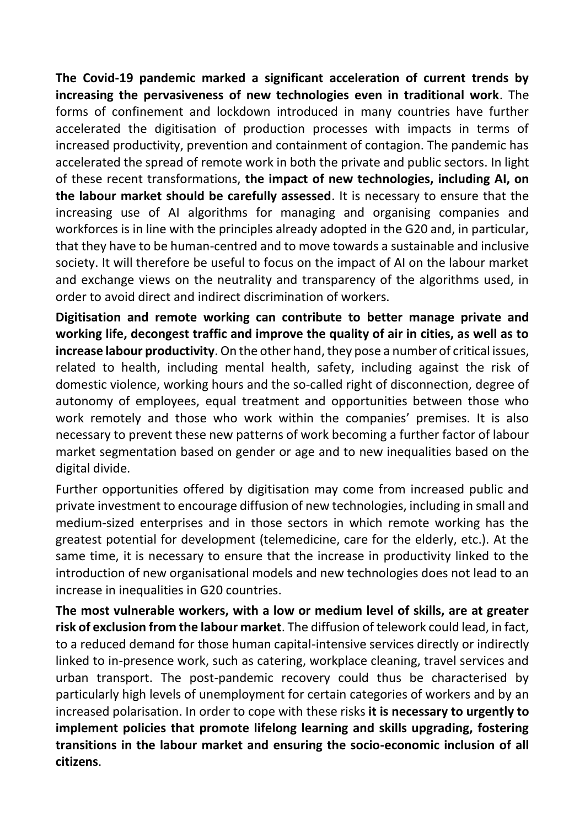**The Covid-19 pandemic marked a significant acceleration of current trends by increasing the pervasiveness of new technologies even in traditional work**. The forms of confinement and lockdown introduced in many countries have further accelerated the digitisation of production processes with impacts in terms of increased productivity, prevention and containment of contagion. The pandemic has accelerated the spread of remote work in both the private and public sectors. In light of these recent transformations, **the impact of new technologies, including AI, on the labour market should be carefully assessed**. It is necessary to ensure that the increasing use of AI algorithms for managing and organising companies and workforces is in line with the principles already adopted in the G20 and, in particular, that they have to be human-centred and to move towards a sustainable and inclusive society. It will therefore be useful to focus on the impact of AI on the labour market and exchange views on the neutrality and transparency of the algorithms used, in order to avoid direct and indirect discrimination of workers.

**Digitisation and remote working can contribute to better manage private and working life, decongest traffic and improve the quality of air in cities, as well as to increase labour productivity**. On the other hand, they pose a number of critical issues, related to health, including mental health, safety, including against the risk of domestic violence, working hours and the so-called right of disconnection, degree of autonomy of employees, equal treatment and opportunities between those who work remotely and those who work within the companies' premises. It is also necessary to prevent these new patterns of work becoming a further factor of labour market segmentation based on gender or age and to new inequalities based on the digital divide.

Further opportunities offered by digitisation may come from increased public and private investment to encourage diffusion of new technologies, including in small and medium-sized enterprises and in those sectors in which remote working has the greatest potential for development (telemedicine, care for the elderly, etc.). At the same time, it is necessary to ensure that the increase in productivity linked to the introduction of new organisational models and new technologies does not lead to an increase in inequalities in G20 countries.

**The most vulnerable workers, with a low or medium level of skills, are at greater risk of exclusion from the labour market**. The diffusion of telework could lead, in fact, to a reduced demand for those human capital-intensive services directly or indirectly linked to in-presence work, such as catering, workplace cleaning, travel services and urban transport. The post-pandemic recovery could thus be characterised by particularly high levels of unemployment for certain categories of workers and by an increased polarisation. In order to cope with these risks **it is necessary to urgently to implement policies that promote lifelong learning and skills upgrading, fostering transitions in the labour market and ensuring the socio-economic inclusion of all citizens**.